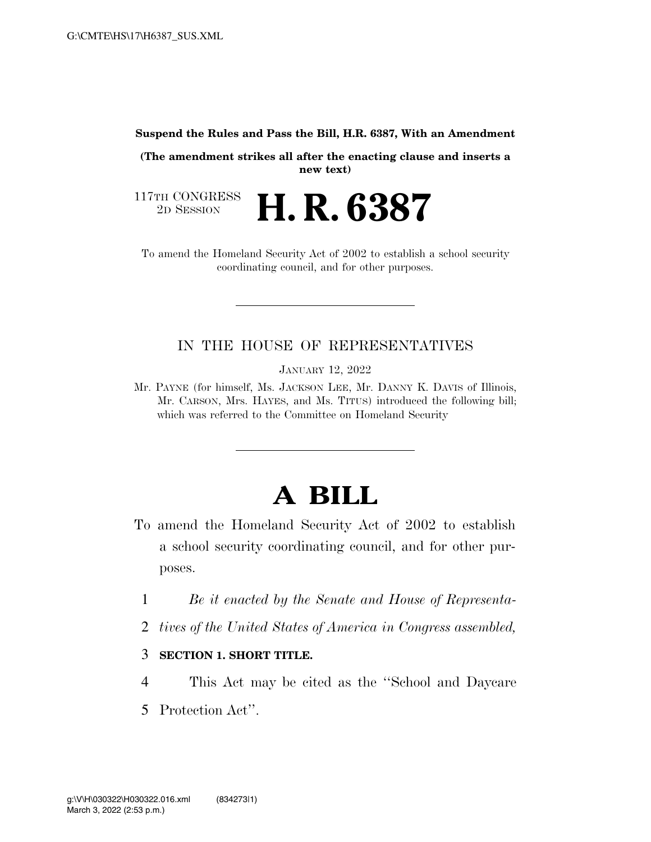#### **Suspend the Rules and Pass the Bill, H.R. 6387, With an Amendment**

**(The amendment strikes all after the enacting clause and inserts a new text)** 

117TH CONGRESS<br>2D SESSION 2D SESSION **H. R. 6387** 

To amend the Homeland Security Act of 2002 to establish a school security coordinating council, and for other purposes.

# IN THE HOUSE OF REPRESENTATIVES

JANUARY 12, 2022

Mr. PAYNE (for himself, Ms. JACKSON LEE, Mr. DANNY K. DAVIS of Illinois, Mr. CARSON, Mrs. HAYES, and Ms. TITUS) introduced the following bill; which was referred to the Committee on Homeland Security

# **A BILL**

- To amend the Homeland Security Act of 2002 to establish a school security coordinating council, and for other purposes.
	- 1 *Be it enacted by the Senate and House of Representa-*
	- 2 *tives of the United States of America in Congress assembled,*

## 3 **SECTION 1. SHORT TITLE.**

- 4 This Act may be cited as the ''School and Daycare
- 5 Protection Act''.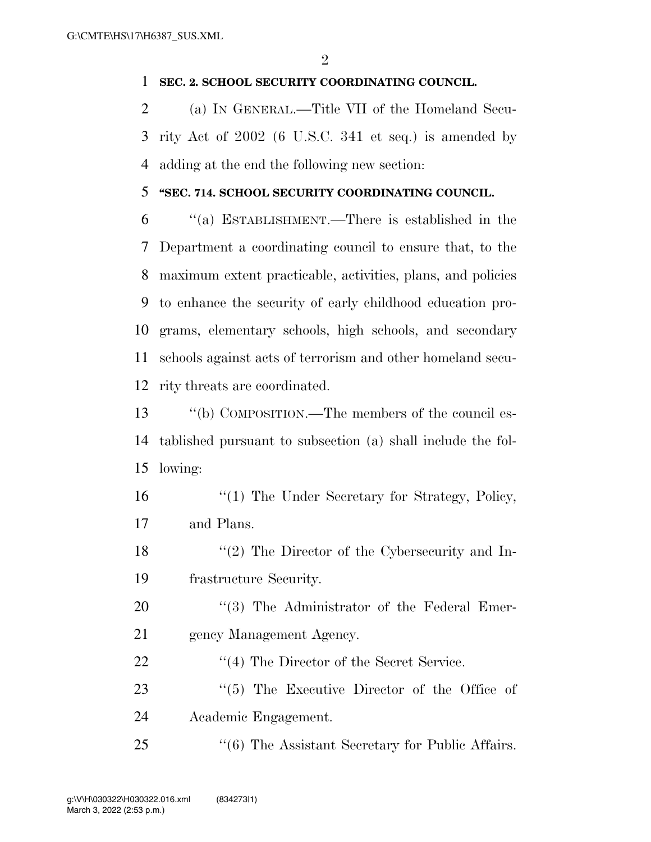### **SEC. 2. SCHOOL SECURITY COORDINATING COUNCIL.**

 (a) IN GENERAL.—Title VII of the Homeland Secu- rity Act of 2002 (6 U.S.C. 341 et seq.) is amended by adding at the end the following new section:

### **''SEC. 714. SCHOOL SECURITY COORDINATING COUNCIL.**

 ''(a) ESTABLISHMENT.—There is established in the Department a coordinating council to ensure that, to the maximum extent practicable, activities, plans, and policies to enhance the security of early childhood education pro- grams, elementary schools, high schools, and secondary schools against acts of terrorism and other homeland secu-rity threats are coordinated.

 ''(b) COMPOSITION.—The members of the council es- tablished pursuant to subsection (a) shall include the fol-lowing:

16 ''(1) The Under Secretary for Strategy, Policy, and Plans.

 ''(2) The Director of the Cybersecurity and In-frastructure Security.

20  $\frac{1}{20}$  The Administrator of the Federal Emer-gency Management Agency.

22 ''(4) The Director of the Secret Service.

23  $\frac{1}{2}$  (5) The Executive Director of the Office of Academic Engagement.

25 "(6) The Assistant Secretary for Public Affairs.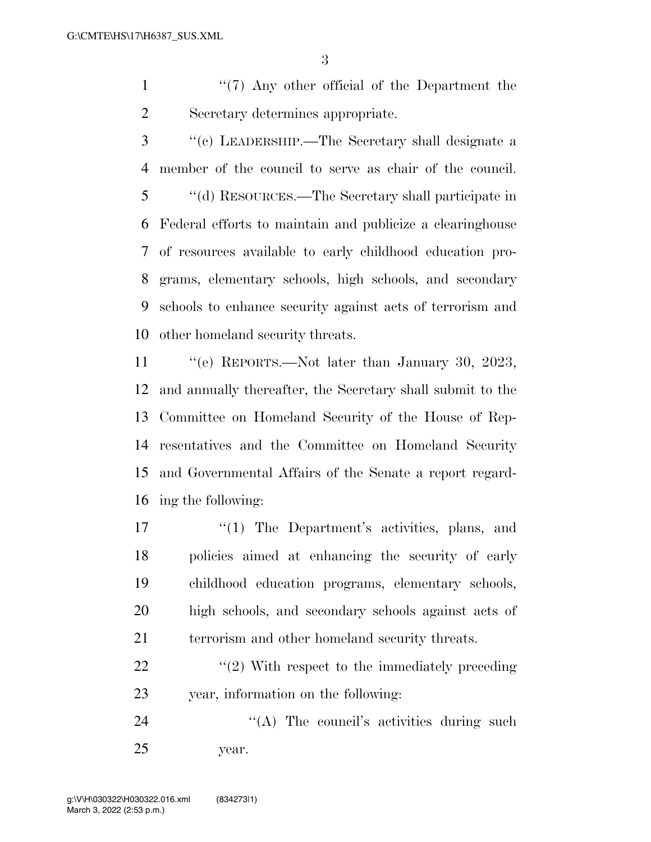1 ''(7) Any other official of the Department the Secretary determines appropriate.

 ''(c) LEADERSHIP.—The Secretary shall designate a member of the council to serve as chair of the council. ''(d) RESOURCES.—The Secretary shall participate in Federal efforts to maintain and publicize a clearinghouse of resources available to early childhood education pro- grams, elementary schools, high schools, and secondary schools to enhance security against acts of terrorism and other homeland security threats.

 ''(e) REPORTS.—Not later than January 30, 2023, and annually thereafter, the Secretary shall submit to the Committee on Homeland Security of the House of Rep- resentatives and the Committee on Homeland Security and Governmental Affairs of the Senate a report regard-ing the following:

- 17 ''(1) The Department's activities, plans, and policies aimed at enhancing the security of early childhood education programs, elementary schools, high schools, and secondary schools against acts of 21 terrorism and other homeland security threats.
- 22  $\frac{1}{2}$   $\frac{1}{2}$  With respect to the immediately preceding year, information on the following:

24 "(A) The council's activities during such year.